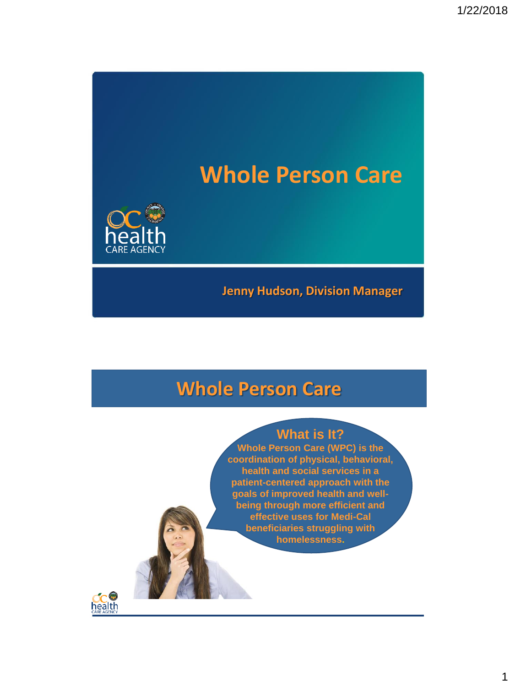# **Whole Person Care**



#### **Jenny Hudson, Division Manager**

### **Whole Person Care**

#### **What is It?**

**Whole Person Care (WPC) is the coordination of physical, behavioral, health and social services in a patient-centered approach with the goals of improved health and wellbeing through more efficient and effective uses for Medi-Cal beneficiaries struggling with homelessness.**

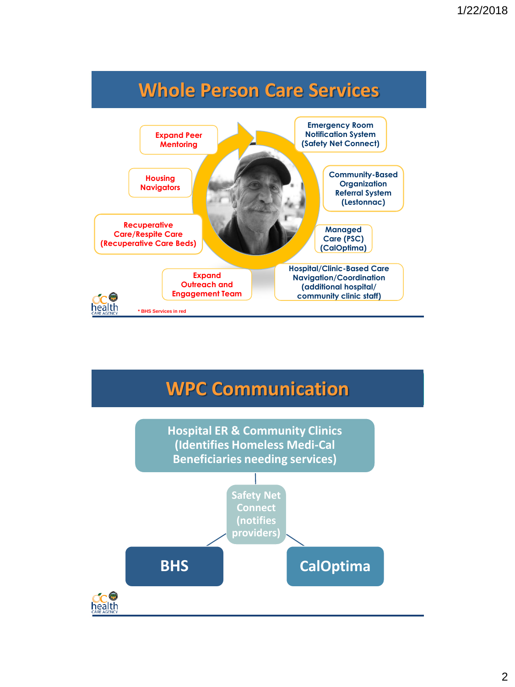



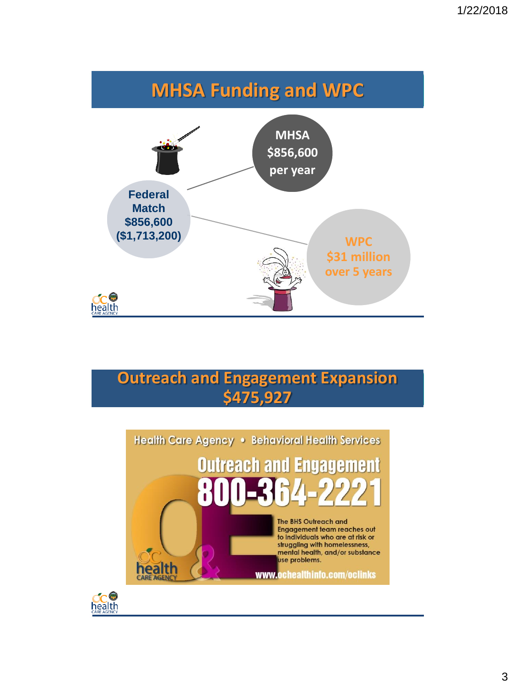



### **Outreach and Engagement Expansion \$475,927**



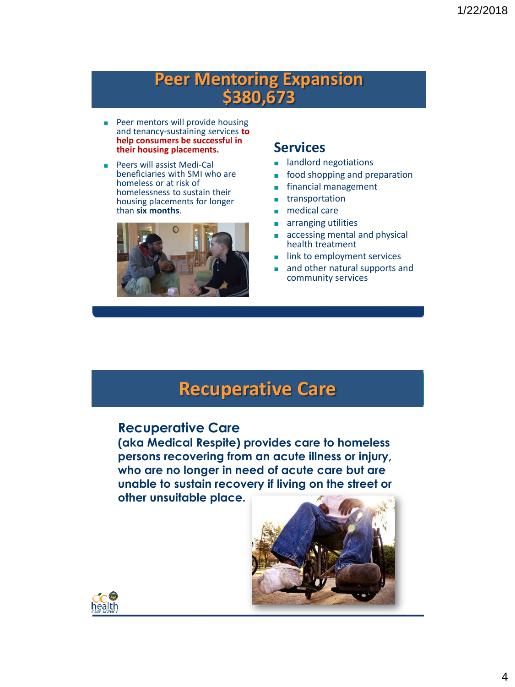### **Peer Mentoring Expansion \$380,673**

- Peer mentors will provide housing and tenancy-sustaining services **to help consumers be successful in their housing placements.**
- Peers will assist Medi-Cal beneficiaries with SMI who are homeless or at risk of homelessness to sustain their housing placements for longer than **six months**.



#### **Services**

- landlord negotiations
- food shopping and preparation
- financial management
- transportation
- medical care
- arranging utilities
- accessing mental and physical health treatment
- link to employment services
- and other natural supports and community services

### **Recuperative Care**

#### **Recuperative Care**

**(aka Medical Respite) provides care to homeless persons recovering from an acute illness or injury, who are no longer in need of acute care but are unable to sustain recovery if living on the street or other unsuitable place.**